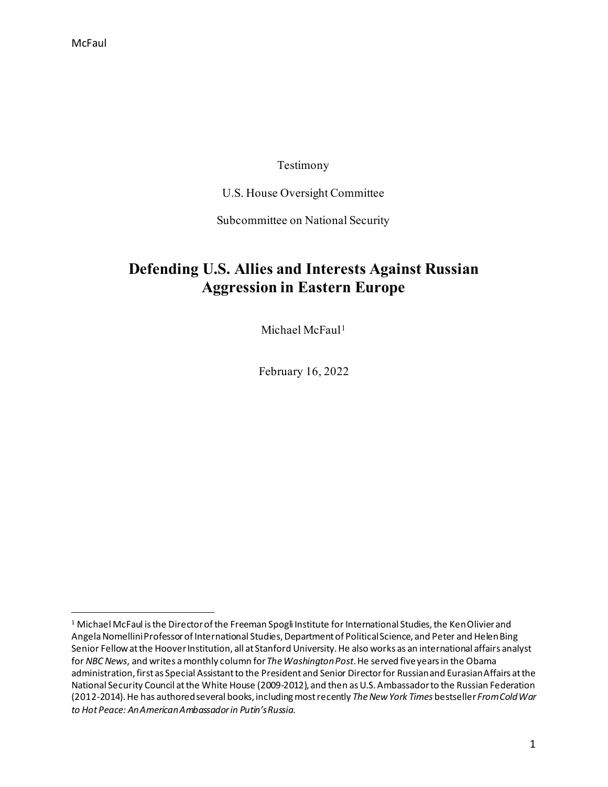### Testimony

U.S. House Oversight Committee

Subcommittee on National Security

## **Defending U.S. Allies and Interests Against Russian Aggression in Eastern Europe**

Michael McFaul<sup>[1](#page-0-0)</sup>

February 16, 2022

<span id="page-0-0"></span><sup>&</sup>lt;sup>1</sup> Michael McFaul is the Director of the Freeman Spogli Institute for International Studies, the Ken Olivier and Angela Nomellini Professor of International Studies, Department of Political Science, and Peter and Helen Bing Senior Fellow at the Hoover Institution, all at Stanford University. He also works as an international affairs analyst for *NBC News*, and writes a monthly column for *The Washington Post*. He served five years in the Obama administration, first as Special Assistant to the President and Senior Director for Russian and Eurasian Affairs at the National Security Council at the White House (2009-2012), and then as U.S. Ambassador to the Russian Federation (2012-2014). He has authored several books, including most recently The New York Times bestseller From Cold War *to Hot Peace: An American Ambassador in Putin's Russia*.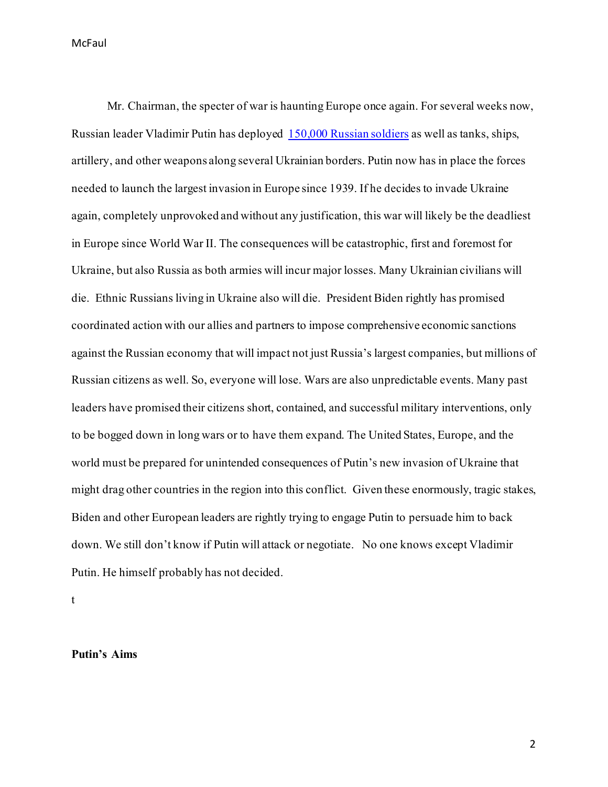Mr. Chairman, the specter of war is haunting Europe once again. For several weeks now, Russian leader Vladimir Putin has deployed [150,000 Russian soldiers](https://www.whitehouse.gov/briefing-room/speeches-remarks/2022/02/15/remarks-by-president-biden-providing-an-update-on-russia-and-ukraine/) as well as tanks, ships, artillery, and other weapons along several Ukrainian borders. Putin now has in place the forces needed to launch the largest invasion in Europe since 1939. If he decides to invade Ukraine again, completely unprovoked and without any justification, this war will likely be the deadliest in Europe since World War II. The consequences will be catastrophic, first and foremost for Ukraine, but also Russia as both armies will incur major losses. Many Ukrainian civilians will die. Ethnic Russians living in Ukraine also will die. President Biden rightly has promised coordinated action with our allies and partners to impose comprehensive economic sanctions against the Russian economy that will impact not just Russia's largest companies, but millions of Russian citizens as well. So, everyone will lose. Wars are also unpredictable events. Many past leaders have promised their citizens short, contained, and successful military interventions, only to be bogged down in long wars or to have them expand. The United States, Europe, and the world must be prepared for unintended consequences of Putin's new invasion of Ukraine that might drag other countries in the region into this conflict. Given these enormously, tragic stakes, Biden and other European leaders are rightly trying to engage Putin to persuade him to back down. We still don't know if Putin will attack or negotiate. No one knows except Vladimir Putin. He himself probably has not decided.

t

#### **Putin's Aims**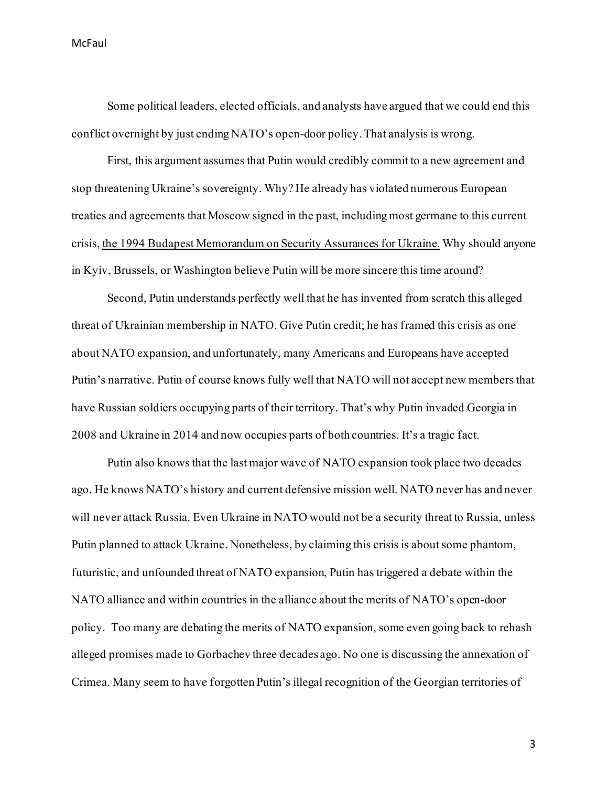Some political leaders, elected officials, and analysts have argued that we could end this conflict overnight by just ending NATO's open-door policy.That analysis is wrong.

First, this argument assumes that Putin would credibly commit to a new agreement and stop threatening Ukraine's sovereignty. Why? He already has violated numerous European treaties and agreements that Moscow signed in the past, including most germane to this current crisis, [the 1994 Budapest Memorandum on Security Assurances for Ukraine](https://www.brookings.edu/blog/order-from-chaos/2019/12/05/why-care-about-ukraine-and-the-budapest-memorandum/). Why should anyone in Kyiv, Brussels, or Washington believe Putin will be more sincere this time around?

Second, Putin understands perfectly well that he has invented from scratch this alleged threat of Ukrainian membership in NATO. Give Putin credit; he has framed this crisis as one about NATO expansion, and unfortunately, many Americans and Europeans have accepted Putin's narrative. Putin of course knows fully well that NATO will not accept new members that have Russian soldiers occupying parts of their territory. That's why Putin invaded Georgia in 2008 and Ukraine in 2014 and now occupies parts of both countries. It's a tragic fact.

Putin also knows that the last major wave of NATO expansion took place two decades ago. He knows NATO's history and current defensive mission well. NATO never has and never will never attack Russia. Even Ukraine in NATO would not be a security threat to Russia, unless Putin planned to attack Ukraine. Nonetheless, by claiming this crisis is about some phantom, futuristic, and unfounded threat of NATO expansion, Putin has triggered a debate within the NATO alliance and within countries in the alliance about the merits of NATO's open-door policy. Too many are debating the merits of NATO expansion, some even going back to rehash alleged promises made to Gorbachev three decades ago. No one is discussing the annexation of Crimea. Many seem to have forgotten Putin's illegal recognition of the Georgian territories of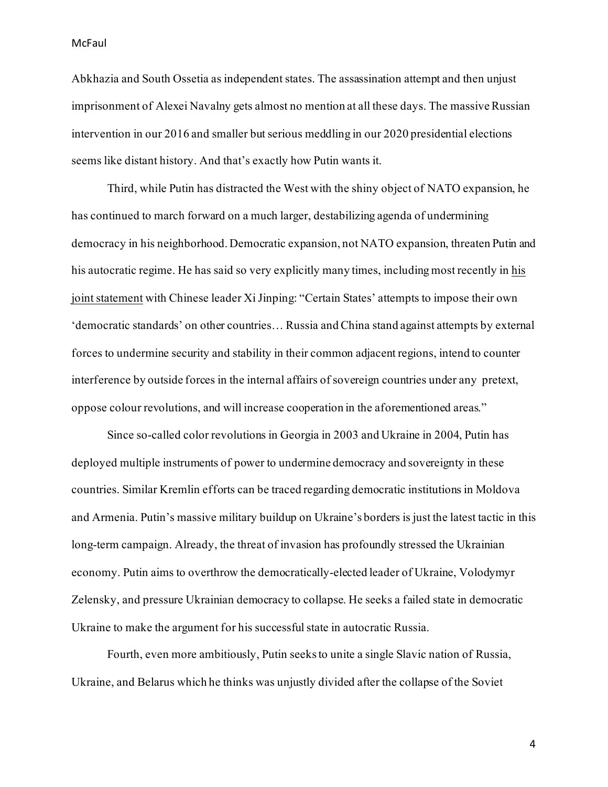Abkhazia and South Ossetia as independent states. The assassination attempt and then unjust imprisonment of Alexei Navalny gets almost no mention at all these days. The massive Russian intervention in our 2016 and smaller but serious meddling in our 2020 presidential elections seems like distant history. And that's exactly how Putin wants it.

Third, while Putin has distracted the West with the shiny object of NATO expansion, he has continued to march forward on a much larger, destabilizing agenda of undermining democracy in his neighborhood. Democratic expansion, not NATO expansion, threaten Putin and his autocratic regime. He has said so very explicitly many times, including most recently i[n his](http://en.kremlin.ru/supplement/5770)  [joint statement](http://en.kremlin.ru/supplement/5770) with Chinese leader Xi Jinping: "Certain States' attempts to impose their own 'democratic standards' on other countries… Russia and China stand against attempts by external forces to undermine security and stability in their common adjacent regions, intend to counter interference by outside forces in the internal affairs of sovereign countries under any pretext, oppose colour revolutions, and will increase cooperation in the aforementioned areas."

Since so-called color revolutions in Georgia in 2003 and Ukraine in 2004, Putin has deployed multiple instruments of power to undermine democracy and sovereignty in these countries. Similar Kremlin efforts can be traced regarding democratic institutions in Moldova and Armenia. Putin's massive military buildup on Ukraine's borders is just the latest tactic in this long-term campaign. Already, the threat of invasion has profoundly stressed the Ukrainian economy. Putin aims to overthrow the democratically-elected leader of Ukraine, Volodymyr Zelensky, and pressure Ukrainian democracy to collapse. He seeks a failed state in democratic Ukraine to make the argument for his successful state in autocratic Russia.

Fourth, even more ambitiously, Putin seeks to unite a single Slavic nation of Russia, Ukraine, and Belarus which he thinks was unjustly divided after the collapse of the Soviet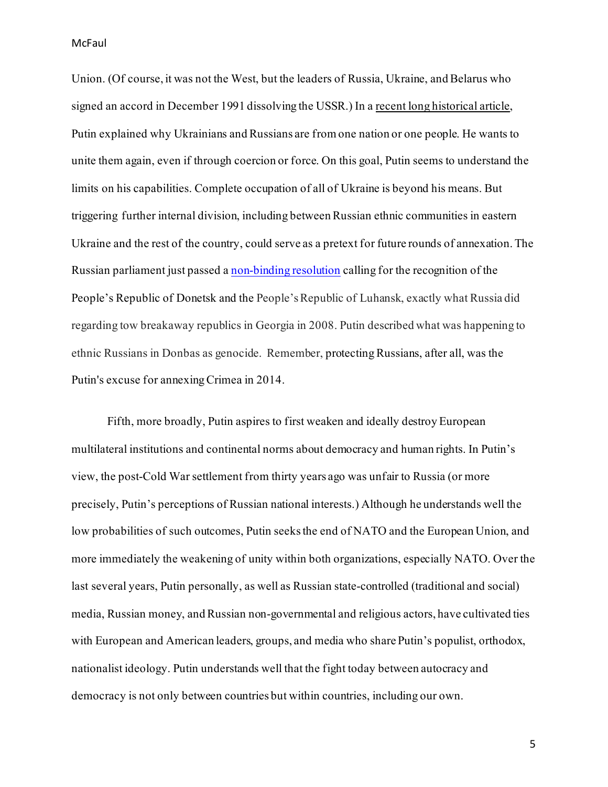Union. (Of course, it was not the West, but the leaders of Russia, Ukraine, and Belarus who signed an accord in December 1991 dissolving the USSR.) In a [recent long historical article,](http://en.kremlin.ru/events/president/news/66181) Putin explained why Ukrainians and Russians are from one nation or one people. He wants to unite them again, even if through coercion or force. On this goal, Putin seems to understand the limits on his capabilities. Complete occupation of all of Ukraine is beyond his means. But triggering further internal division, including between Russian ethnic communities in eastern Ukraine and the rest of the country, could serve as a pretext for future rounds of annexation. The Russian parliament just passed [a non-binding resolution](https://www.politico.eu/article/russia-state-duma-parliament-donetsk-luhansk-moscow-putin-kremlin-ukraine-conflict/) calling for the recognition of the People's Republic of Donetsk and the People's Republic of Luhansk, exactly what Russia did regarding tow breakaway republics in Georgia in 2008. Putin described what was happening to ethnic Russians in Donbas as genocide. Remember, protecting Russians, after all, was the Putin's excuse for annexingCrimea in 2014.

Fifth, more broadly, Putin aspires to first weaken and ideally destroy European multilateral institutions and continental norms about democracy and human rights. In Putin's view, the post-Cold War settlement from thirty years ago was unfair to Russia (or more precisely, Putin's perceptions of Russian national interests.) Although he understands well the low probabilities of such outcomes, Putin seeks the end of NATO and the European Union, and more immediately the weakening of unity within both organizations, especially NATO. Over the last several years, Putin personally, as well as Russian state-controlled (traditional and social) media, Russian money, and Russian non-governmental and religious actors, have cultivated ties with European and American leaders, groups, and media who share Putin's populist, orthodox, nationalist ideology. Putin understands well that the fight today between autocracy and democracy is not only between countries but within countries, including our own.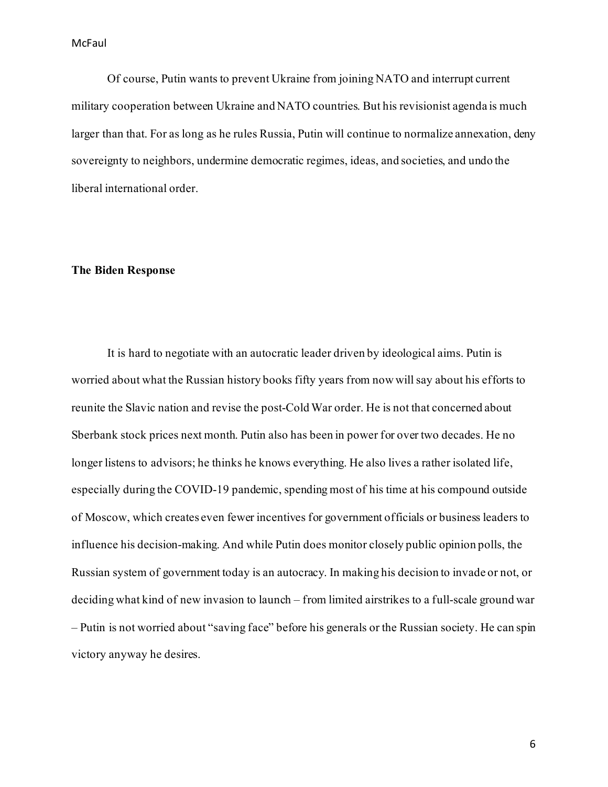Of course, Putin wants to prevent Ukraine from joining NATO and interrupt current military cooperation between Ukraine and NATO countries. But his revisionist agenda is much larger than that. For as long as he rules Russia, Putin will continue to normalize annexation, deny sovereignty to neighbors, undermine democratic regimes, ideas, and societies, and undo the liberal international order.

### **The Biden Response**

It is hard to negotiate with an autocratic leader driven by ideological aims. Putin is worried about what the Russian history books fifty years from now will say about his efforts to reunite the Slavic nation and revise the post-Cold War order. He is not that concerned about Sberbank stock prices next month. Putin also has been in power for over two decades. He no longer listens to advisors; he thinks he knows everything. He also lives a rather isolated life, especially during the COVID-19 pandemic, spending most of his time at his compound outside of Moscow, which creates even fewer incentives for government officials or business leaders to influence his decision-making. And while Putin does monitor closely public opinion polls, the Russian system of government today is an autocracy. In making his decision to invade or not, or deciding what kind of new invasion to launch – from limited airstrikes to a full-scale ground war – Putin is not worried about "saving face" before his generals or the Russian society. He can spin victory anyway he desires.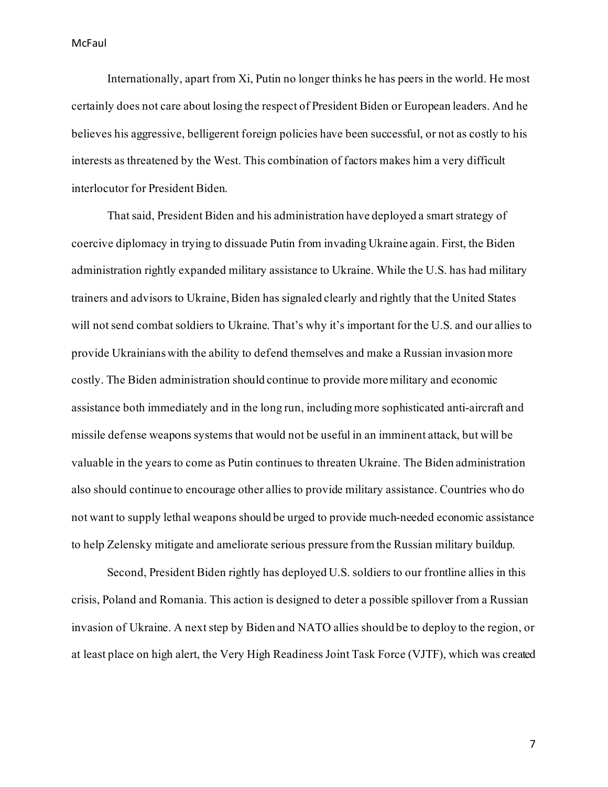Internationally, apart from Xi, Putin no longer thinks he has peers in the world. He most certainly does not care about losing the respect of President Biden or European leaders. And he believes his aggressive, belligerent foreign policies have been successful, or not as costly to his interests as threatened by the West. This combination of factors makes him a very difficult interlocutor for President Biden.

That said, President Biden and his administration have deployed a smart strategy of coercive diplomacy in trying to dissuade Putin from invading Ukraine again. First, the Biden administration rightly expanded military assistance to Ukraine. While the U.S. has had military trainers and advisors to Ukraine, Biden has signaled clearly and rightly that the United States will not send combat soldiers to Ukraine. That's why it's important for the U.S. and our allies to provide Ukrainians with the ability to defend themselves and make a Russian invasion more costly. The Biden administration should continue to provide more military and economic assistance both immediately and in the long run, including more sophisticated anti-aircraft and missile defense weapons systems that would not be useful in an imminent attack, but will be valuable in the years to come as Putin continues to threaten Ukraine. The Biden administration also should continue to encourage other allies to provide military assistance. Countries who do not want to supply lethal weapons should be urged to provide much-needed economic assistance to help Zelensky mitigate and ameliorate serious pressure from the Russian military buildup.

Second, President Biden rightly has deployed U.S. soldiers to our frontline allies in this crisis, Poland and Romania. This action is designed to deter a possible spillover from a Russian invasion of Ukraine. A next step by Biden and NATO allies should be to deploy to the region, or at least place on high alert, the Very High Readiness Joint Task Force (VJTF), which was created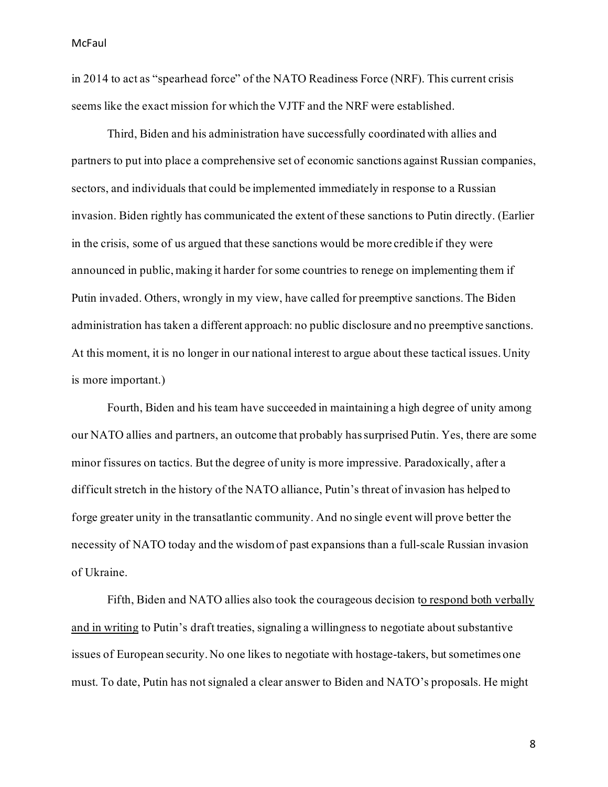in 2014 to act as "spearhead force" of the NATO Readiness Force (NRF). This current crisis seems like the exact mission for which the VJTF and the NRF were established.

Third, Biden and his administration have successfully coordinated with allies and partners to put into place a comprehensive set of economic sanctions against Russian companies, sectors, and individuals that could be implemented immediately in response to a Russian invasion. Biden rightly has communicated the extent of these sanctions to Putin directly. (Earlier in the crisis, some of us argued that these sanctions would be more credible if they were announced in public, making it harder for some countries to renege on implementing them if Putin invaded. Others, wrongly in my view, have called for preemptive sanctions. The Biden administration has taken a different approach: no public disclosure and no preemptive sanctions. At this moment, it is no longer in our national interest to argue about these tactical issues. Unity is more important.)

Fourth, Biden and his team have succeeded in maintaining a high degree of unity among our NATO allies and partners, an outcome that probably has surprised Putin. Yes, there are some minor fissures on tactics. But the degree of unity is more impressive. Paradoxically, after a difficult stretch in the history of the NATO alliance, Putin's threat of invasion has helped to forge greater unity in the transatlantic community. And no single event will prove better the necessity of NATO today and the wisdom of past expansions than a full-scale Russian invasion of Ukraine.

Fifth, Biden and NATO allies also took the courageous decision to respond both verbally [and in writing](https://www.axios.com/us-nato-written-answers-russia-ukraine-demands-df0dec55-cb96-4439-a9ec-2a6aa839c747.html) to Putin's draft treaties, signaling a willingness to negotiate about substantive issues of European security. No one likes to negotiate with hostage-takers, but sometimes one must. To date, Putin has not signaled a clear answer to Biden and NATO's proposals. He might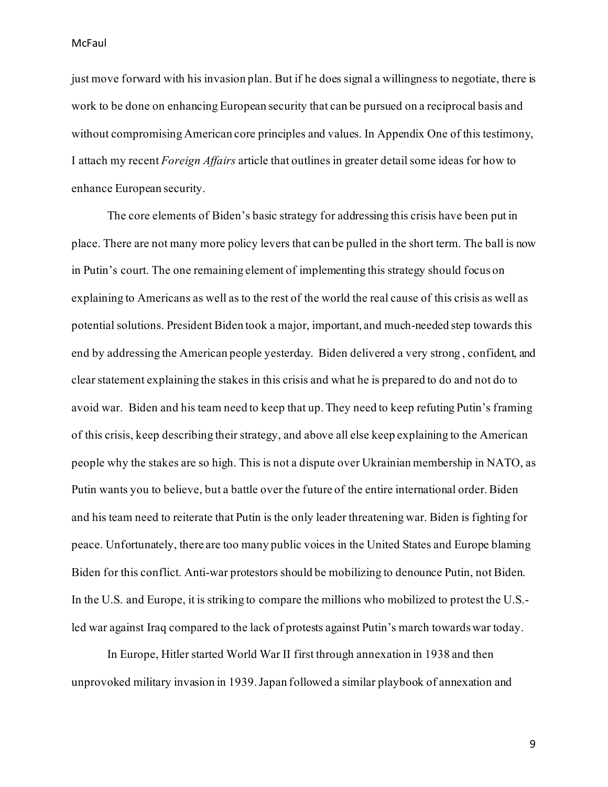just move forward with his invasion plan. But if he does signal a willingness to negotiate, there is work to be done on enhancing European security that can be pursued on a reciprocal basis and without compromising American core principles and values. In Appendix One of this testimony, I attach my recent *Foreign Affairs* article that outlines in greater detail some ideas for how to enhance European security.

The core elements of Biden's basic strategy for addressing this crisis have been put in place. There are not many more policy levers that can be pulled in the short term. The ball is now in Putin's court. The one remaining element of implementing this strategy should focus on explaining to Americans as well as to the rest of the world the real cause of this crisis as well as potential solutions. President Biden took a major, important, and much-needed step towards this end by addressing the American people yesterday. Biden delivered a very strong , confident, and clear statement explaining the stakes in this crisis and what he is prepared to do and not do to avoid war. Biden and his team need to keep that up. They need to keep refuting Putin's framing of this crisis, keep describing their strategy, and above all else keep explaining to the American people why the stakes are so high. This is not a dispute over Ukrainian membership in NATO, as Putin wants you to believe, but a battle over the future of the entire international order. Biden and his team need to reiterate that Putin is the only leader threatening war. Biden is fighting for peace. Unfortunately, there are too many public voices in the United States and Europe blaming Biden for this conflict. Anti-war protestors should be mobilizing to denounce Putin, not Biden. In the U.S. and Europe, it is striking to compare the millions who mobilized to protest the U.S. led war against Iraq compared to the lack of protests against Putin's march towards war today.

In Europe, Hitler started World War II first through annexation in 1938 and then unprovoked military invasion in 1939. Japan followed a similar playbook of annexation and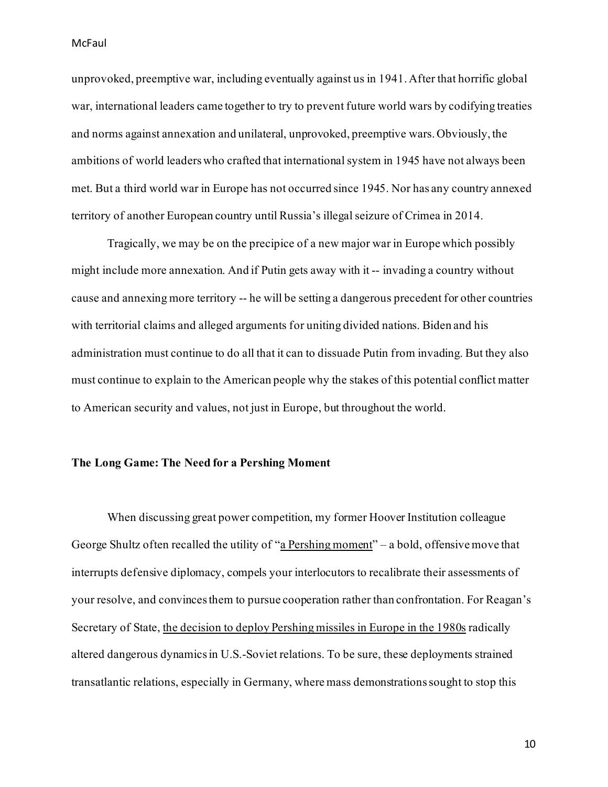unprovoked, preemptive war, including eventually against us in 1941. After that horrific global war, international leaders came together to try to prevent future world wars by codifying treaties and norms against annexation and unilateral, unprovoked, preemptive wars. Obviously, the ambitions of world leaders who crafted that international system in 1945 have not always been met. But a third world war in Europe has not occurred since 1945. Nor has any country annexed territory of another European country until Russia's illegal seizure of Crimea in 2014.

Tragically, we may be on the precipice of a new major war in Europe which possibly might include more annexation. And if Putin gets away with it -- invading a country without cause and annexing more territory -- he will be setting a dangerous precedent for other countries with territorial claims and alleged arguments for uniting divided nations. Biden and his administration must continue to do all that it can to dissuade Putin from invading. But they also must continue to explain to the American people why the stakes of this potential conflict matter to American security and values, not just in Europe, but throughout the world.

#### **The Long Game: The Need for a Pershing Moment**

When discussing great power competition, my former Hoover Institution colleague George Shultz often recalled the utility of ["a Pershing moment](https://www.npr.org/2017/10/04/555710502/reagan-administration-secretary-of-state-reflects-on-his-tenure-and-tillersons)" – a bold, offensive move that interrupts defensive diplomacy, compels your interlocutors to recalibrate their assessments of your resolve, and convinces them to pursue cooperation rather than confrontation. For Reagan's Secretary of State[, the decision to deploy Pershing missiles in Europe in the 1980s](https://www.washingtonpost.com/archive/politics/1981/11/15/nato-seeks-to-deploy-missiles-in-five-european-countries/c284656e-99f3-4d39-8903-aed3010b11e0/) radically altered dangerous dynamics in U.S.-Soviet relations. To be sure, these deployments strained transatlantic relations, especially in Germany, where mass demonstrations sought to stop this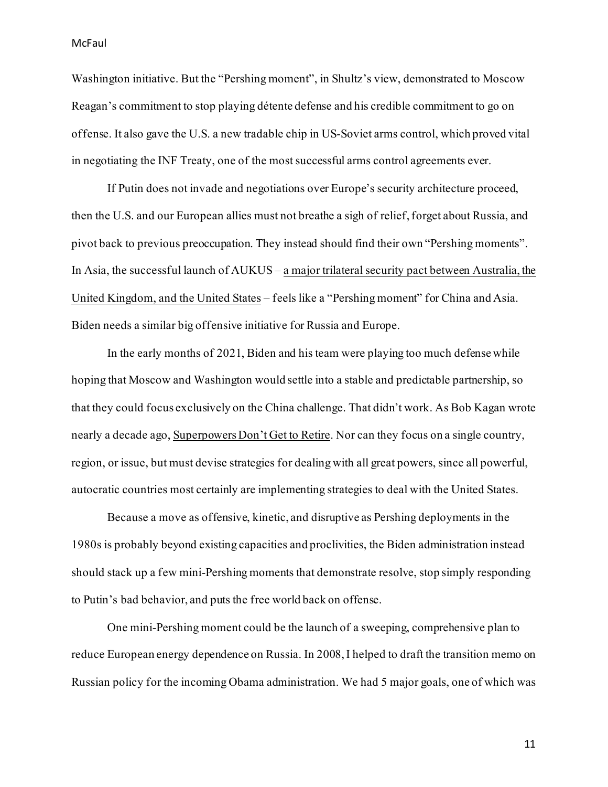Washington initiative. But the "Pershing moment", in Shultz's view, demonstrated to Moscow Reagan's commitment to stop playing détente defense and his credible commitment to go on offense. It also gave the U.S. a new tradable chip in US-Soviet arms control, which proved vital in negotiating the INF Treaty, one of the most successful arms control agreements ever.

If Putin does not invade and negotiations over Europe's security architecture proceed, then the U.S. and our European allies must not breathe a sigh of relief, forget about Russia, and pivot back to previous preoccupation. They instead should find their own "Pershing moments". In Asia, the successful launch of AUKUS – [a major trilateral security pact between Australia, the](https://www.whitehouse.gov/briefing-room/statements-releases/2021/09/15/joint-leaders-statement-on-aukus/)  [United Kingdom, and the United States](https://www.whitehouse.gov/briefing-room/statements-releases/2021/09/15/joint-leaders-statement-on-aukus/) – feels like a "Pershing moment" for China and Asia. Biden needs a similar big offensive initiative for Russia and Europe.

In the early months of 2021, Biden and his team were playing too much defense while hoping that Moscow and Washington would settle into a stable and predictable partnership, so that they could focus exclusively on the China challenge. That didn't work. As Bob Kagan wrote nearly a decade ago[, Superpowers Don't Get to Retire.](https://newrepublic.com/article/117859/superpowers-dont-get-retire) Nor can they focus on a single country, region, or issue, but must devise strategies for dealing with all great powers, since all powerful, autocratic countries most certainly are implementing strategies to deal with the United States.

Because a move as offensive, kinetic, and disruptive as Pershing deployments in the 1980s is probably beyond existing capacities and proclivities, the Biden administration instead should stack up a few mini-Pershing moments that demonstrate resolve, stop simply responding to Putin's bad behavior, and puts the free world back on offense.

One mini-Pershing moment could be the launch of a sweeping, comprehensive plan to reduce European energy dependence on Russia. In 2008, I helped to draft the transition memo on Russian policy for the incoming Obama administration. We had 5 major goals, one of which was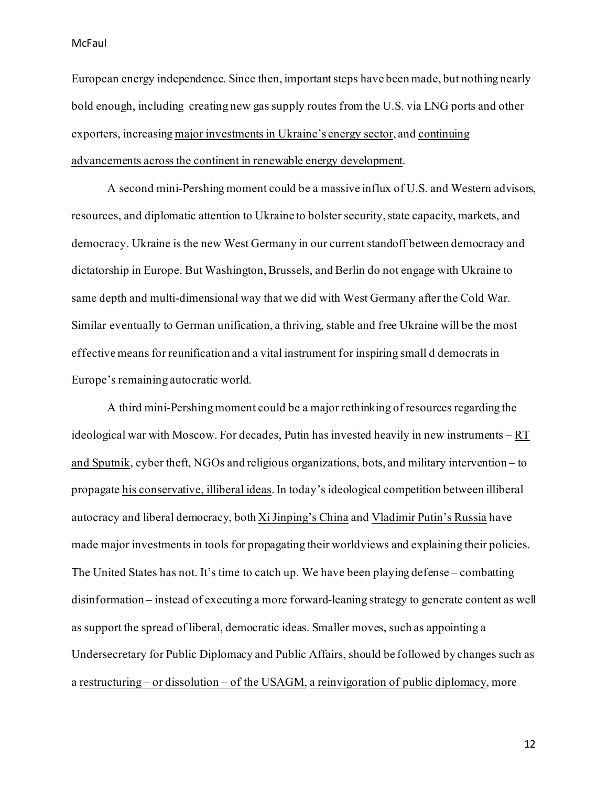European energy independence. Since then, important steps have been made, but nothing nearly bold enough, including creating new gas supply routes from the U.S. via LNG ports and other exporters, increasin[g major investments in Ukraine's energy sector](https://hir.harvard.edu/ukraine-energy-reserves/), an[d continuing](https://www.cnn.com/2021/01/24/business/eu-renewable-energy-fossil-fuels/index.html)  [advancements across the continent in renewable energy development.](https://www.cnn.com/2021/01/24/business/eu-renewable-energy-fossil-fuels/index.html)

A second mini-Pershing moment could be a massive influx of U.S. and Western advisors, resources, and diplomatic attention to Ukraine to bolster security, state capacity, markets, and democracy. Ukraine is the new West Germany in our current standoff between democracy and dictatorship in Europe. But Washington, Brussels, and Berlin do not engage with Ukraine to same depth and multi-dimensional way that we did with West Germany after the Cold War. Similar eventually to German unification, a thriving, stable and free Ukraine will be the most effective means for reunification and a vital instrument for inspiring small d democrats in Europe's remaining autocratic world.

A third mini-Pershing moment could be a major rethinking of resources regarding the ideological war with Moscow. For decades, Putin has invested heavily in new instruments –  $RT$ [and Sputnik,](https://www.state.gov/report-rt-and-sputniks-role-in-russias-disinformation-and-propaganda-ecosystem/) cyber theft, NGOs and religious organizations, bots, and military intervention – to propagat[e his conservative, illiberal ideas](https://direct.mit.edu/isec/article/45/2/95/95260/Putin-Putinism-and-the-Domestic-Determinants-of).In today's ideological competition between illiberal autocracy and liberal democracy, both [Xi Jinping's China](https://www.theatlantic.com/politics/archive/2020/05/china-disinformation-propaganda-united-states-xi-jinping/612085/) and [Vladimir Putin's Russia](https://www.rferl.org/a/russia-rt-america-funding/31427870.html) have made major investments in tools for propagating their worldviews and explaining their policies. The United States has not. It's time to catch up. We have been playing defense – combatting disinformation – instead of executing a more forward-leaning strategy to generate content as well as support the spread of liberal, democratic ideas. Smaller moves, such as appointing a Undersecretary for Public Diplomacy and Public Affairs, should be followed by changes such as a restructuring – or dissolution – [of the USAGM,](https://www.americanpurpose.com/articles/sell-it-again-uncle-sam/) [a reinvigoration of public diplomacy,](https://www.americanpurpose.com/articles/dressing-for-dinner/) more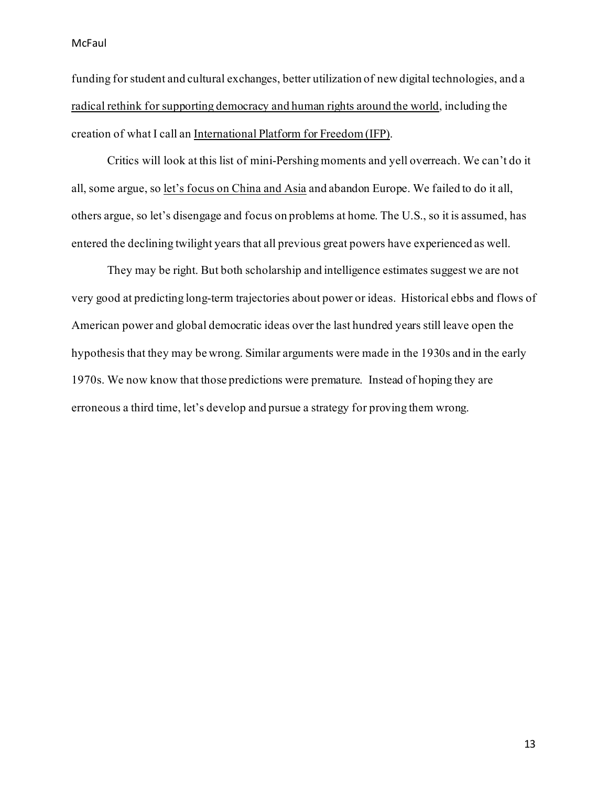funding for student and cultural exchanges, better utilization of new digital technologies, and a [radical rethink for supporting democracy](https://www.americanpurpose.com/articles/sometimes-you-get-another-chance/) and human rights around the world, including the creation of what I call a[n International Platform for Freedom \(IFP\).](https://www.americanpurpose.com/articles/its-time-to-up-our-democracy-promotion-game/)

Critics will look at this list of mini-Pershing moments and yell overreach. We can't do it all, some argue, s[o let's focus on China and Asia](https://twitter.com/elbridgecolby/status/1484156214141407232?s=11) and abandon Europe. We failed to do it all, others argue, so let's disengage and focus on problems at home. The U.S., so it is assumed, has entered the declining twilight years that all previous great powers have experienced as well.

They may be right. But both scholarship and intelligence estimates suggest we are not very good at predicting long-term trajectories about power or ideas. Historical ebbs and flows of American power and global democratic ideas over the last hundred years still leave open the hypothesis that they may be wrong. Similar arguments were made in the 1930s and in the early 1970s. We now know that those predictions were premature. Instead of hoping they are erroneous a third time, let's develop and pursue a strategy for proving them wrong.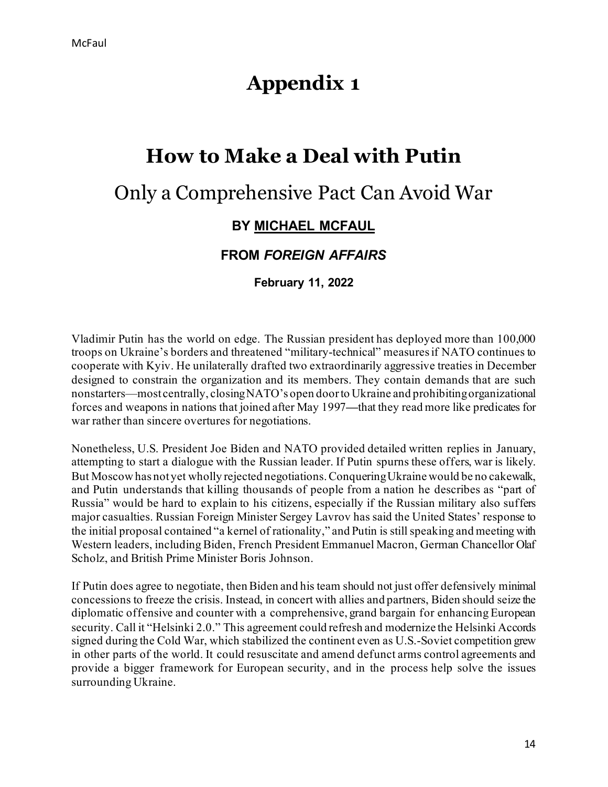# **Appendix 1**

# **How to Make a Deal with Putin**

# Only a Comprehensive Pact Can Avoid War

## **BY [MICHAEL MCFAUL](https://www.foreignaffairs.com/print/node/1128416#author-info)**

## **FROM** *FOREIGN AFFAIRS*

**February 11, 2022**

Vladimir Putin has the world on edge. The Russian president has deployed more than 100,000 troops on Ukraine's borders and threatened "military-technical" measures if NATO continues to cooperate with Kyiv. He unilaterally drafted two extraordinarily aggressive treaties in December designed to constrain the organization and its members. They contain demands that are such nonstarters—most centrally, closing NATO's open door to Ukraine and prohibiting organizational forces and weapons in nations that joined after May 1997**—**that they read more like predicates for war rather than sincere overtures for negotiations.

Nonetheless, U.S. President Joe Biden and NATO provided detailed written replies in January, attempting to start a dialogue with the Russian leader. If Putin spurns these offers, war is likely. But Moscow has not yet wholly rejected negotiations. Conquering Ukraine would be no cakewalk, and Putin understands that killing thousands of people from a nation he describes as "part of Russia" would be hard to explain to his citizens, especially if the Russian military also suffers major casualties. Russian Foreign Minister Sergey Lavrov has said the United States' response to the initial proposal contained "a kernel of rationality," and Putin is still speaking and meeting with Western leaders, including Biden, French President Emmanuel Macron, German Chancellor Olaf Scholz, and British Prime Minister Boris Johnson.

If Putin does agree to negotiate, then Biden and his team should not just offer defensively minimal concessions to freeze the crisis. Instead, in concert with allies and partners, Biden should seize the diplomatic offensive and counter with a comprehensive, grand bargain for enhancing European security. Call it "Helsinki 2.0." This agreement could refresh and modernize the Helsinki Accords signed during the Cold War, which stabilized the continent even as U.S.-Soviet competition grew in other parts of the world. It could resuscitate and amend defunct arms control agreements and provide a bigger framework for European security, and in the process help solve the issues surrounding Ukraine.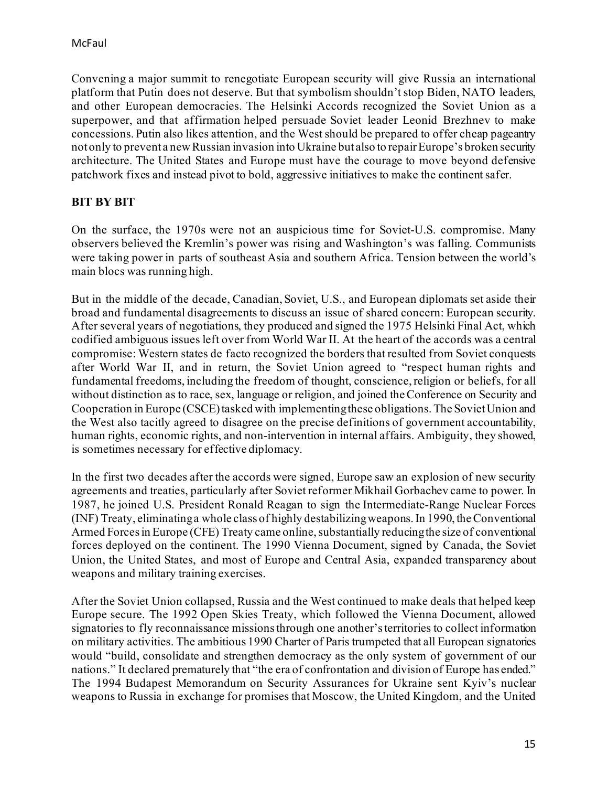Convening a major summit to renegotiate European security will give Russia an international platform that Putin does not deserve. But that symbolism shouldn't stop Biden, NATO leaders, and other European democracies. The Helsinki Accords recognized the Soviet Union as a superpower, and that affirmation helped persuade Soviet leader Leonid Brezhnev to make concessions. Putin also likes attention, and the West should be prepared to offer cheap pageantry not only to prevent a new Russian invasion into Ukraine but also to repair Europe's broken security architecture. The United States and Europe must have the courage to move beyond defensive patchwork fixes and instead pivot to bold, aggressive initiatives to make the continent safer.

## **BIT BY BIT**

On the surface, the 1970s were not an auspicious time for Soviet-U.S. compromise. Many observers believed the Kremlin's power was rising and Washington's was falling. Communists were taking power in parts of southeast Asia and southern Africa. Tension between the world's main blocs was running high.

But in the middle of the decade, Canadian, Soviet, U.S., and European diplomats set aside their broad and fundamental disagreements to discuss an issue of shared concern: European security. After several years of negotiations, they produced and signed the 1975 Helsinki Final Act, which codified ambiguous issues left over from World War II. At the heart of the accords was a central compromise: Western states de facto recognized the borders that resulted from Soviet conquests after World War II, and in return, the Soviet Union agreed to "respect human rights and fundamental freedoms, including the freedom of thought, conscience, religion or beliefs, for all without distinction as to race, sex, language or religion, and joined the Conference on Security and Cooperation in Europe (CSCE) tasked with implementing these obligations. The Soviet Union and the West also tacitly agreed to disagree on the precise definitions of government accountability, human rights, economic rights, and non-intervention in internal affairs. Ambiguity, they showed, is sometimes necessary for effective diplomacy.

In the first two decades after the accords were signed, Europe saw an explosion of new security agreements and treaties, particularly after Soviet reformer Mikhail Gorbachev came to power. In 1987, he joined U.S. President Ronald Reagan to sign the Intermediate-Range Nuclear Forces (INF) Treaty, eliminating a whole class of highly destabilizing weapons.In 1990, the Conventional Armed Forces in Europe (CFE) Treaty came online, substantially reducing the size of conventional forces deployed on the continent. The 1990 Vienna Document, signed by Canada, the Soviet Union, the United States, and most of Europe and Central Asia, expanded transparency about weapons and military training exercises.

After the Soviet Union collapsed, Russia and the West continued to make deals that helped keep Europe secure. The 1992 Open Skies Treaty, which followed the Vienna Document, allowed signatories to fly reconnaissance missions through one another's territories to collect information on military activities. The ambitious 1990 Charter of Paris trumpeted that all European signatories would "build, consolidate and strengthen democracy as the only system of government of our nations." It declared prematurely that "the era of confrontation and division of Europe has ended." The 1994 Budapest Memorandum on Security Assurances for Ukraine sent Kyiv's nuclear weapons to Russia in exchange for promises that Moscow, the United Kingdom, and the United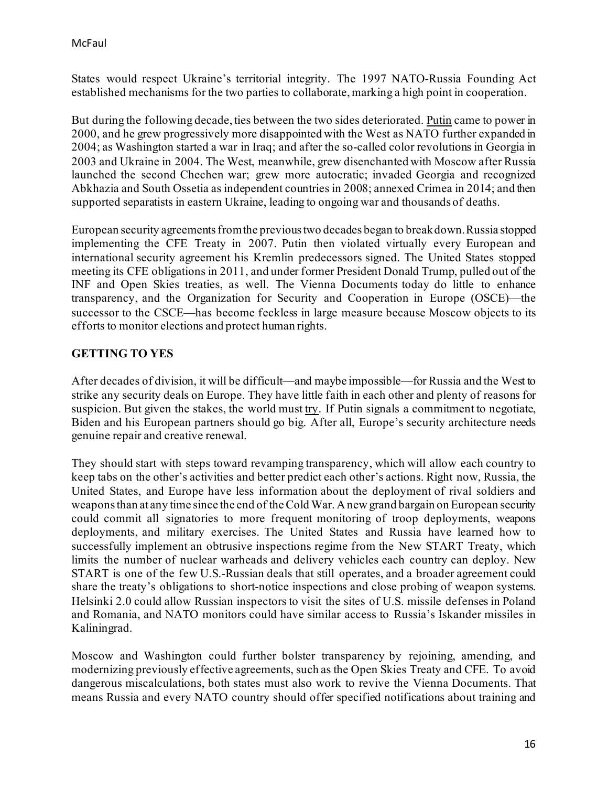States would respect Ukraine's territorial integrity. The 1997 NATO-Russia Founding Act established mechanisms for the two parties to collaborate, marking a high point in cooperation.

But during the following decade, ties between the two sides deteriorated. [Putin](https://www.foreignaffairs.com/articles/russian-federation/2020-06-09/pinning-down-putin#author-info) came to power in 2000, and he grew progressively more disappointed with the West as NATO further expanded in 2004; as Washington started a war in Iraq; and after the so-called color revolutions in Georgia in 2003 and Ukraine in 2004. The West, meanwhile, grew disenchanted with Moscow after Russia launched the second Chechen war; grew more autocratic; invaded Georgia and recognized Abkhazia and South Ossetia as independent countries in 2008; annexed Crimea in 2014; and then supported separatists in eastern Ukraine, leading to ongoing war and thousands of deaths.

European security agreements from the previous two decades began to break down. Russia stopped implementing the CFE Treaty in 2007. Putin then violated virtually every European and international security agreement his Kremlin predecessors signed. The United States stopped meeting its CFE obligations in 2011, and under former President Donald Trump, pulled out of the INF and Open Skies treaties, as well. The Vienna Documents today do little to enhance transparency, and the Organization for Security and Cooperation in Europe (OSCE)—the successor to the CSCE—has become feckless in large measure because Moscow objects to its efforts to monitor elections and protect human rights.

### **GETTING TO YES**

After decades of division, it will be difficult—and maybe impossible—for Russia and the West to strike any security deals on Europe. They have little faith in each other and plenty of reasons for suspicion. But given the stakes, the world must [try.](https://www.foreignaffairs.com/articles/russia-fsu/2021-06-14/how-biden-should-deal-putin) If Putin signals a commitment to negotiate, Biden and his European partners should go big. After all, Europe's security architecture needs genuine repair and creative renewal.

They should start with steps toward revamping transparency, which will allow each country to keep tabs on the other's activities and better predict each other's actions. Right now, Russia, the United States, and Europe have less information about the deployment of rival soldiers and weapons than at any time since the end of the Cold War. A new grand bargain on European security could commit all signatories to more frequent monitoring of troop deployments, weapons deployments, and military exercises. The United States and Russia have learned how to successfully implement an obtrusive inspections regime from the New START Treaty, which limits the number of nuclear warheads and delivery vehicles each country can deploy. New START is one of the few U.S.-Russian deals that still operates, and a broader agreement could share the treaty's obligations to short-notice inspections and close probing of weapon systems. Helsinki 2.0 could allow Russian inspectors to visit the sites of U.S. missile defenses in Poland and Romania, and NATO monitors could have similar access to Russia's Iskander missiles in Kaliningrad.

Moscow and Washington could further bolster transparency by rejoining, amending, and modernizing previously effective agreements, such as the Open Skies Treaty and CFE. To avoid dangerous miscalculations, both states must also work to revive the Vienna Documents. That means Russia and every NATO country should offer specified notifications about training and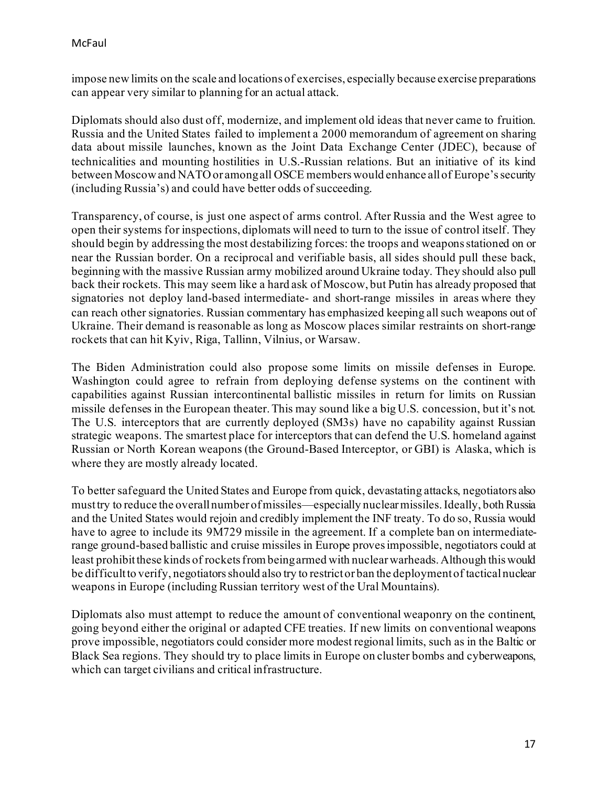impose new limits on the scale and locations of exercises, especially because exercise preparations can appear very similar to planning for an actual attack.

Diplomats should also dust off, modernize, and implement old ideas that never came to fruition. Russia and the United States failed to implement a 2000 memorandum of agreement on sharing data about missile launches, known as the Joint Data Exchange Center (JDEC), because of technicalities and mounting hostilities in U.S.-Russian relations. But an initiative of its kind between Moscow and NATO or among all OSCE members would enhance all of Europe's security (including Russia's) and could have better odds of succeeding.

Transparency, of course, is just one aspect of arms control. After Russia and the West agree to open their systems for inspections, diplomats will need to turn to the issue of control itself. They should begin by addressing the most destabilizing forces: the troops and weapons stationed on or near the Russian border. On a reciprocal and verifiable basis, all sides should pull these back, beginning with the massive Russian army mobilized around Ukraine today. They should also pull back their rockets. This may seem like a hard ask of Moscow, but Putin has already proposed that signatories not deploy land-based intermediate- and short-range missiles in areas where they can reach other signatories. Russian commentary has emphasized keeping all such weapons out of Ukraine. Their demand is reasonable as long as Moscow places similar restraints on short-range rockets that can hit Kyiv, Riga, Tallinn, Vilnius, or Warsaw.

The Biden Administration could also propose some limits on missile defenses in Europe. Washington could agree to refrain from deploying defense systems on the continent with capabilities against Russian intercontinental ballistic missiles in return for limits on Russian missile defenses in the European theater. This may sound like a big U.S. concession, but it's not. The U.S. interceptors that are currently deployed (SM3s) have no capability against Russian strategic weapons. The smartest place for interceptors that can defend the U.S. homeland against Russian or North Korean weapons (the Ground-Based Interceptor, or GBI) is Alaska, which is where they are mostly already located.

To better safeguard the United States and Europe from quick, devastating attacks, negotiators also must try to reduce the overall number of missiles—especially nuclear missiles. Ideally, both Russia and the United States would rejoin and credibly implement the INF treaty. To do so, Russia would have to agree to include its 9M729 missile in the agreement. If a complete ban on intermediaterange ground-based ballistic and cruise missiles in Europe proves impossible, negotiators could at least prohibit these kinds of rockets from being armed with nuclear warheads. Although this would be difficult to verify, negotiators should also try to restrict or ban the deployment of tactical nuclear weapons in Europe (including Russian territory west of the Ural Mountains).

Diplomats also must attempt to reduce the amount of conventional weaponry on the continent, going beyond either the original or adapted CFE treaties. If new limits on conventional weapons prove impossible, negotiators could consider more modest regional limits, such as in the Baltic or Black Sea regions. They should try to place limits in Europe on cluster bombs and cyberweapons, which can target civilians and critical infrastructure.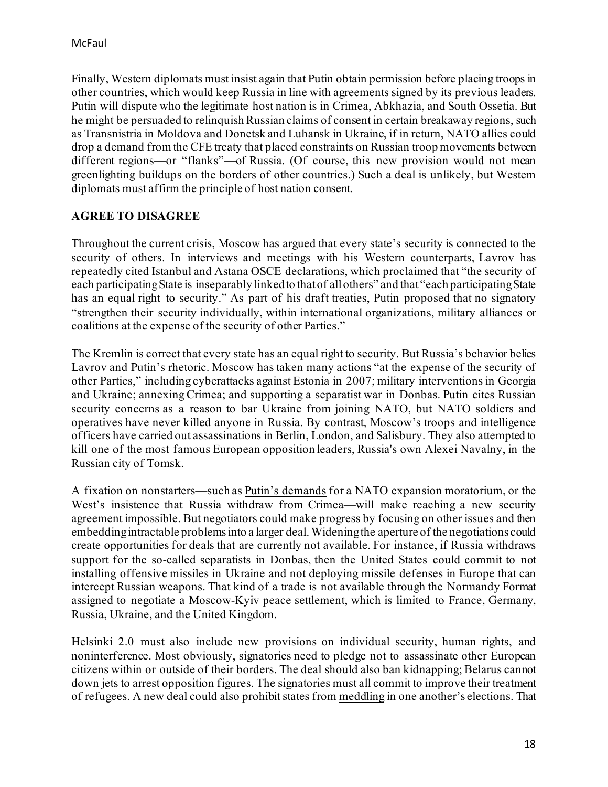Finally, Western diplomats must insist again that Putin obtain permission before placing troops in other countries, which would keep Russia in line with agreements signed by its previous leaders. Putin will dispute who the legitimate host nation is in Crimea, Abkhazia, and South Ossetia. But he might be persuaded to relinquish Russian claims of consent in certain breakaway regions, such as Transnistria in Moldova and Donetsk and Luhansk in Ukraine, if in return, NATO allies could drop a demand from the CFE treaty that placed constraints on Russian troop movements between different regions—or "flanks"—of Russia. (Of course, this new provision would not mean greenlighting buildups on the borders of other countries.) Such a deal is unlikely, but Western diplomats must affirm the principle of host nation consent.

## **AGREE TO DISAGREE**

Throughout the current crisis, Moscow has argued that every state's security is connected to the security of others. In interviews and meetings with his Western counterparts, Lavrov has repeatedly cited Istanbul and Astana OSCE declarations, which proclaimed that "the security of each participating State is inseparably linked to that of all others" and that "each participating State has an equal right to security." As part of his draft treaties, Putin proposed that no signatory "strengthen their security individually, within international organizations, military alliances or coalitions at the expense of the security of other Parties."

The Kremlin is correct that every state has an equal right to security. But Russia's behavior belies Lavrov and Putin's rhetoric. Moscow has taken many actions "at the expense of the security of other Parties," including cyberattacks against Estonia in 2007; military interventions in Georgia and Ukraine; annexing Crimea; and supporting a separatist war in Donbas. Putin cites Russian security concerns as a reason to bar Ukraine from joining NATO, but NATO soldiers and operatives have never killed anyone in Russia. By contrast, Moscow's troops and intelligence officers have carried out assassinations in Berlin, London, and Salisbury. They also attempted to kill one of the most famous European opposition leaders, Russia's own Alexei Navalny, in the Russian city of Tomsk.

A fixation on nonstarters—such as [Putin's demands](https://www.foreignaffairs.com/articles/ukraine/2022-01-27/putin-doctrine#author-info) for a NATO expansion moratorium, or the West's insistence that Russia withdraw from Crimea—will make reaching a new security agreement impossible. But negotiators could make progress by focusing on other issues and then embedding intractable problems into a larger deal. Widening the aperture of the negotiations could create opportunities for deals that are currently not available. For instance, if Russia withdraws support for the so-called separatists in Donbas, then the United States could commit to not installing offensive missiles in Ukraine and not deploying missile defenses in Europe that can intercept Russian weapons. That kind of a trade is not available through the Normandy Format assigned to negotiate a Moscow-Kyiv peace settlement, which is limited to France, Germany, Russia, Ukraine, and the United Kingdom.

Helsinki 2.0 must also include new provisions on individual security, human rights, and noninterference. Most obviously, signatories need to pledge not to assassinate other European citizens within or outside of their borders. The deal should also ban kidnapping; Belarus cannot down jets to arrest opposition figures. The signatories must all commit to improve their treatment of refugees. A new deal could also prohibit states from [meddling](https://www.foreignaffairs.com/articles/united-states/2021-09-27/kremlins-strange-victory) in one another's elections. That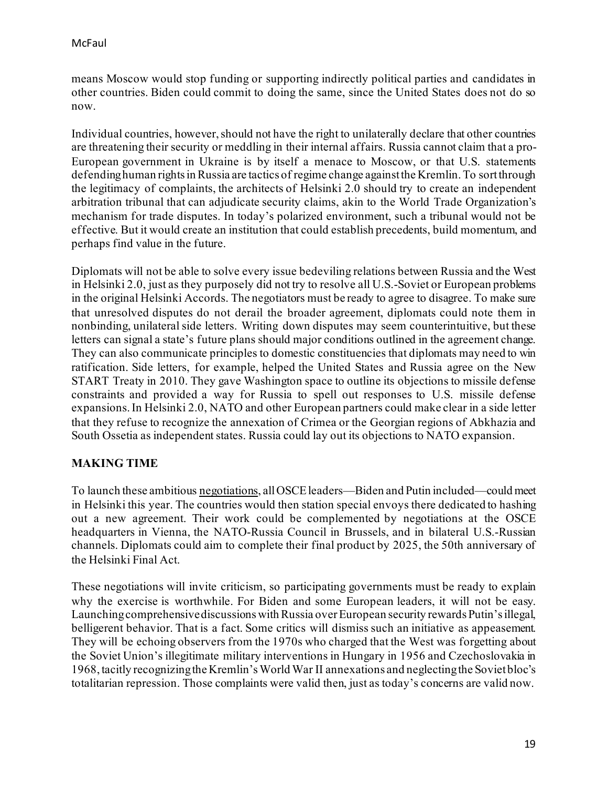means Moscow would stop funding or supporting indirectly political parties and candidates in other countries. Biden could commit to doing the same, since the United States does not do so now.

Individual countries, however, should not have the right to unilaterally declare that other countries are threatening their security or meddling in their internal affairs. Russia cannot claim that a pro-European government in Ukraine is by itself a menace to Moscow, or that U.S. statements defending human rights in Russia are tactics of regime change against the Kremlin. To sort through the legitimacy of complaints, the architects of Helsinki 2.0 should try to create an independent arbitration tribunal that can adjudicate security claims, akin to the World Trade Organization's mechanism for trade disputes. In today's polarized environment, such a tribunal would not be effective. But it would create an institution that could establish precedents, build momentum, and perhaps find value in the future.

Diplomats will not be able to solve every issue bedeviling relations between Russia and the West in Helsinki 2.0, just as they purposely did not try to resolve all U.S.-Soviet or European problems in the original Helsinki Accords. The negotiators must be ready to agree to disagree. To make sure that unresolved disputes do not derail the broader agreement, diplomats could note them in nonbinding, unilateral side letters. Writing down disputes may seem counterintuitive, but these letters can signal a state's future plans should major conditions outlined in the agreement change. They can also communicate principles to domestic constituencies that diplomats may need to win ratification. Side letters, for example, helped the United States and Russia agree on the New START Treaty in 2010. They gave Washington space to outline its objections to missile defense constraints and provided a way for Russia to spell out responses to U.S. missile defense expansions. In Helsinki 2.0, NATO and other European partners could make clear in a side letter that they refuse to recognize the annexation of Crimea or the Georgian regions of Abkhazia and South Ossetia as independent states. Russia could lay out its objections to NATO expansion.

## **MAKING TIME**

To launch these ambitious [negotiations](https://www.foreignaffairs.com/articles/russia-fsu/2022-02-07/how-break-cycle-conflict-russia), all OSCE leaders—Biden and Putin included—could meet in Helsinki this year. The countries would then station special envoys there dedicated to hashing out a new agreement. Their work could be complemented by negotiations at the OSCE headquarters in Vienna, the NATO-Russia Council in Brussels, and in bilateral U.S.-Russian channels. Diplomats could aim to complete their final product by 2025, the 50th anniversary of the Helsinki Final Act.

These negotiations will invite criticism, so participating governments must be ready to explain why the exercise is worthwhile. For Biden and some European leaders, it will not be easy. Launching comprehensive discussions with Russia over European security rewards Putin's illegal, belligerent behavior. That is a fact. Some critics will dismiss such an initiative as appeasement. They will be echoing observers from the 1970s who charged that the West was forgetting about the Soviet Union's illegitimate military interventions in Hungary in 1956 and Czechoslovakia in 1968, tacitly recognizing the Kremlin's World War II annexations and neglecting the Soviet bloc's totalitarian repression. Those complaints were valid then, just as today's concerns are valid now.